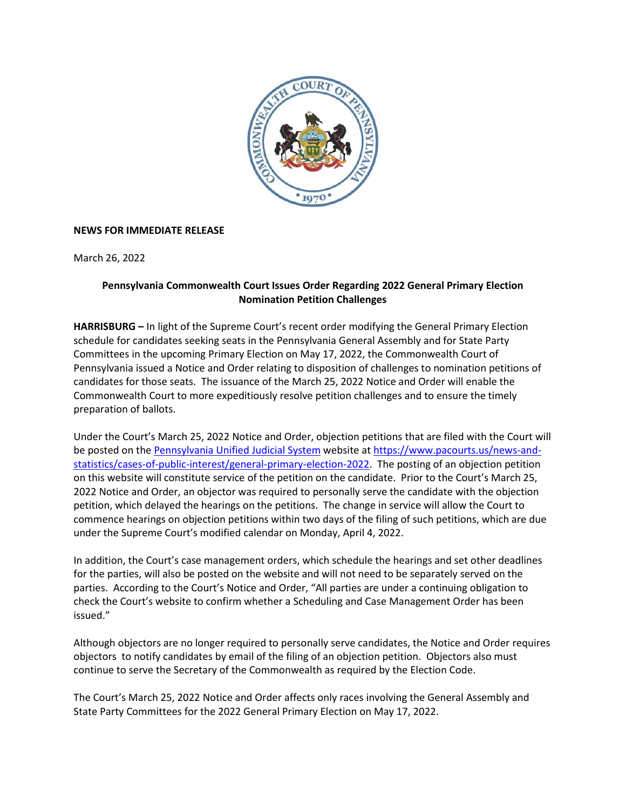

## **NEWS FOR IMMEDIATE RELEASE**

March 26, 2022

## **Pennsylvania Commonwealth Court Issues Order Regarding 2022 General Primary Election Nomination Petition Challenges**

**HARRISBURG –** In light of the Supreme Court's recent order modifying the General Primary Election schedule for candidates seeking seats in the Pennsylvania General Assembly and for State Party Committees in the upcoming Primary Election on May 17, 2022, the Commonwealth Court of Pennsylvania issued a Notice and Order relating to disposition of challenges to nomination petitions of candidates for those seats. The issuance of the March 25, 2022 Notice and Order will enable the Commonwealth Court to more expeditiously resolve petition challenges and to ensure the timely preparation of ballots.

Under the Court's March 25, 2022 Notice and Order, objection petitions that are filed with the Court will be posted on th[e Pennsylvania Unified Judicial System](http://www.pacourts.us/news-and-statistics/cases-of-public-interest/general-primary-election-2022) website at [https://www.pacourts.us/news-and](https://www.pacourts.us/news-and-statistics/cases-of-public-interest/general-primary-election-2022)[statistics/cases-of-public-interest/general-primary-election-2022.](https://www.pacourts.us/news-and-statistics/cases-of-public-interest/general-primary-election-2022) The posting of an objection petition on this website will constitute service of the petition on the candidate. Prior to the Court's March 25, 2022 Notice and Order, an objector was required to personally serve the candidate with the objection petition, which delayed the hearings on the petitions. The change in service will allow the Court to commence hearings on objection petitions within two days of the filing of such petitions, which are due under the Supreme Court's modified calendar on Monday, April 4, 2022.

In addition, the Court's case management orders, which schedule the hearings and set other deadlines for the parties, will also be posted on the website and will not need to be separately served on the parties. According to the Court's Notice and Order, "All parties are under a continuing obligation to check the Court's website to confirm whether a Scheduling and Case Management Order has been issued."

Although objectors are no longer required to personally serve candidates, the Notice and Order requires objectors to notify candidates by email of the filing of an objection petition. Objectors also must continue to serve the Secretary of the Commonwealth as required by the Election Code.

The Court's March 25, 2022 Notice and Order affects only races involving the General Assembly and State Party Committees for the 2022 General Primary Election on May 17, 2022.